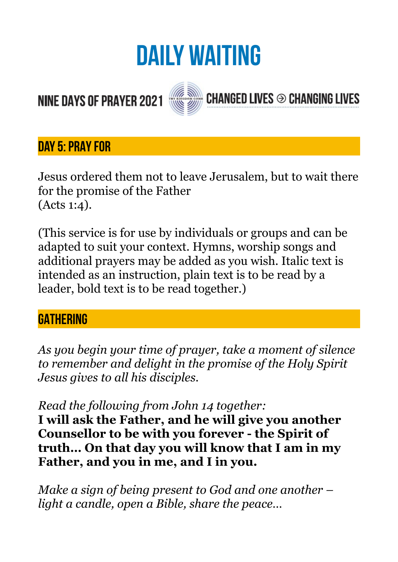# **DAILY WAITING**

**CHANGED LIVES <sup>⊙</sup> CHANGING LIVES** 

## **NINE DAYS OF PRAYER 2021**



#### **Day 5: PRAY FOR**

Jesus ordered them not to leave Jerusalem, but to wait there for the promise of the Father (Acts 1:4).

(This service is for use by individuals or groups and can be adapted to suit your context. Hymns, worship songs and additional prayers may be added as you wish. Italic text is intended as an instruction, plain text is to be read by a leader, bold text is to be read together.)

#### **GATHERING**

*As you begin your time of prayer, take a moment of silence to remember and delight in the promise of the Holy Spirit Jesus gives to all his disciples.* 

*Read the following from John 14 together:* 

**I will ask the Father, and he will give you another Counsellor to be with you forever - the Spirit of truth… On that day you will know that I am in my Father, and you in me, and I in you.** 

*Make a sign of being present to God and one another – light a candle, open a Bible, share the peace…*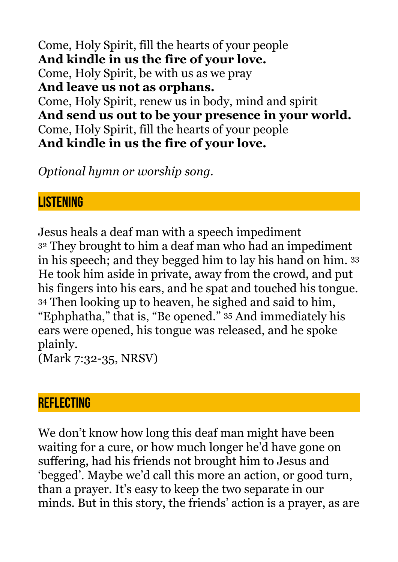Come, Holy Spirit, fill the hearts of your people **And kindle in us the fire of your love.**  Come, Holy Spirit, be with us as we pray **And leave us not as orphans.**  Come, Holy Spirit, renew us in body, mind and spirit **And send us out to be your presence in your world.**  Come, Holy Spirit, fill the hearts of your people **And kindle in us the fire of your love.** 

*Optional hymn or worship song.* 

#### **LISTENING**

Jesus heals a deaf man with a speech impediment 32 They brought to him a deaf man who had an impediment in his speech; and they begged him to lay his hand on him. 33 He took him aside in private, away from the crowd, and put his fingers into his ears, and he spat and touched his tongue. 34 Then looking up to heaven, he sighed and said to him, "Ephphatha," that is, "Be opened." 35 And immediately his ears were opened, his tongue was released, and he spoke plainly.

(Mark 7:32-35, NRSV)

#### **REFLECTING**

We don't know how long this deaf man might have been waiting for a cure, or how much longer he'd have gone on suffering, had his friends not brought him to Jesus and 'begged'. Maybe we'd call this more an action, or good turn, than a prayer. It's easy to keep the two separate in our minds. But in this story, the friends' action is a prayer, as are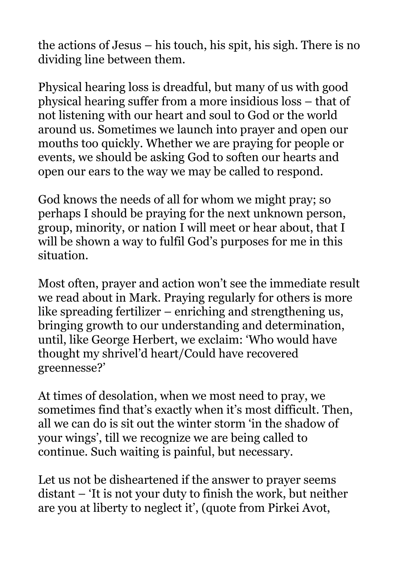the actions of Jesus – his touch, his spit, his sigh. There is no dividing line between them.

Physical hearing loss is dreadful, but many of us with good physical hearing suffer from a more insidious loss – that of not listening with our heart and soul to God or the world around us. Sometimes we launch into prayer and open our mouths too quickly. Whether we are praying for people or events, we should be asking God to soften our hearts and open our ears to the way we may be called to respond.

God knows the needs of all for whom we might pray; so perhaps I should be praying for the next unknown person, group, minority, or nation I will meet or hear about, that I will be shown a way to fulfil God's purposes for me in this situation.

Most often, prayer and action won't see the immediate result we read about in Mark. Praying regularly for others is more like spreading fertilizer – enriching and strengthening us, bringing growth to our understanding and determination, until, like George Herbert, we exclaim: 'Who would have thought my shrivel'd heart/Could have recovered greennesse?'

At times of desolation, when we most need to pray, we sometimes find that's exactly when it's most difficult. Then, all we can do is sit out the winter storm 'in the shadow of your wings', till we recognize we are being called to continue. Such waiting is painful, but necessary.

Let us not be disheartened if the answer to prayer seems distant – 'It is not your duty to finish the work, but neither are you at liberty to neglect it', (quote from Pirkei Avot,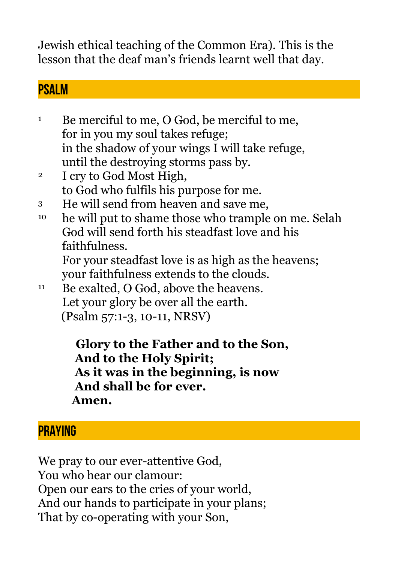Jewish ethical teaching of the Common Era). This is the lesson that the deaf man's friends learnt well that day.

#### **PSALM**

<sup>1</sup> Be merciful to me, O God, be merciful to me, for in you my soul takes refuge; in the shadow of your wings I will take refuge, until the destroying storms pass by.

- 2 I cry to God Most High, to God who fulfils his purpose for me.
- 3 He will send from heaven and save me,
- <sup>10</sup> he will put to shame those who trample on me. Selah God will send forth his steadfast love and his faithfulness.

For your steadfast love is as high as the heavens; your faithfulness extends to the clouds.

11 Be exalted, O God, above the heavens. Let your glory be over all the earth. (Psalm 57:1-3, 10-11, NRSV)

> **Glory to the Father and to the Son, And to the Holy Spirit; As it was in the beginning, is now And shall be for ever. Amen.**

### **PRAYING**

We pray to our ever-attentive God, You who hear our clamour: Open our ears to the cries of your world, And our hands to participate in your plans; That by co-operating with your Son,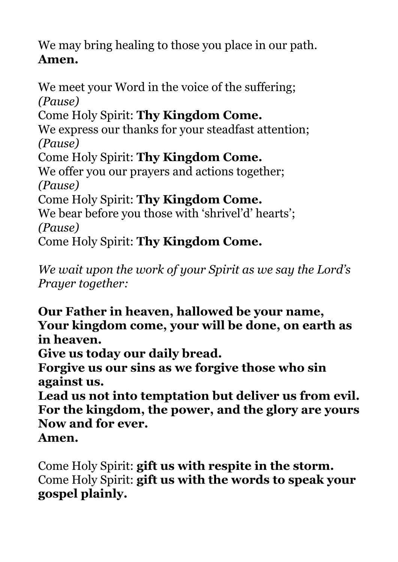We may bring healing to those you place in our path. **Amen.** 

We meet your Word in the voice of the suffering; *(Pause)*  Come Holy Spirit: **Thy Kingdom Come.** We express our thanks for your steadfast attention; *(Pause)*  Come Holy Spirit: **Thy Kingdom Come.** We offer you our prayers and actions together; *(Pause)*  Come Holy Spirit: **Thy Kingdom Come.** We bear before you those with 'shrivel'd' hearts'; *(Pause)*  Come Holy Spirit: **Thy Kingdom Come.**

*We wait upon the work of your Spirit as we say the Lord's Prayer together:* 

**Our Father in heaven, hallowed be your name, Your kingdom come, your will be done, on earth as in heaven.** 

**Give us today our daily bread.** 

**Forgive us our sins as we forgive those who sin against us.** 

**Lead us not into temptation but deliver us from evil. For the kingdom, the power, and the glory are yours Now and for ever.** 

**Amen.** 

Come Holy Spirit: **gift us with respite in the storm.** Come Holy Spirit: **gift us with the words to speak your gospel plainly.**